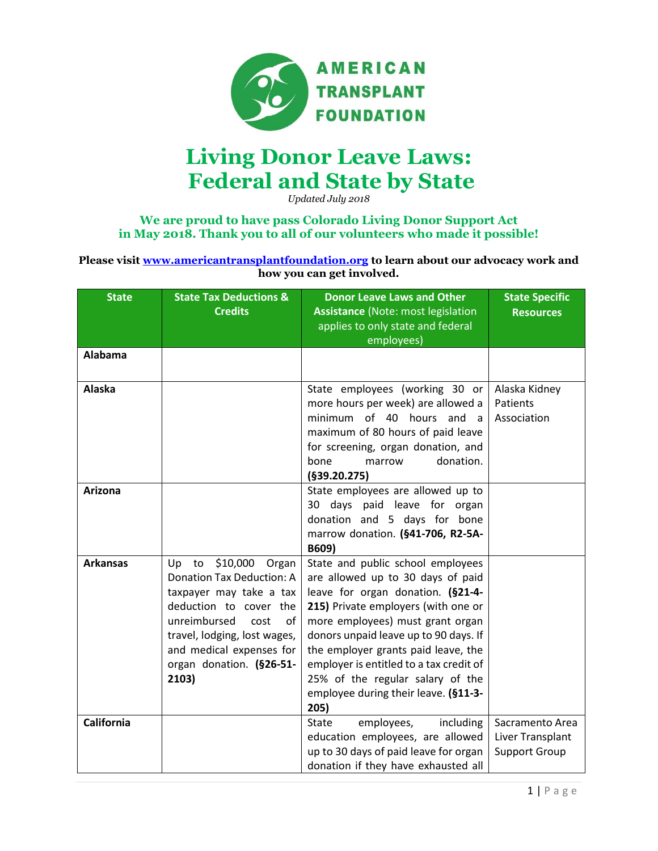

## **Living Donor Leave Laws: Federal and State by State**

*Updated July 2018*

## **We are proud to have pass Colorado Living Donor Support Act in May 2018. Thank you to all of our volunteers who made it possible!**

**Please visit [www.americantransplantfoundation.org](http://www.americantransplantfoundation.org/) to learn about our advocacy work and how you can get involved.**

| <b>State</b>      | <b>State Tax Deductions &amp;</b><br><b>Credits</b>                                                                                                                                                                                             | Donor Leave Laws and Other<br><b>Assistance (Note: most legislation</b><br>applies to only state and federal<br>employees)                                                                                                                                                                                                                                                                            | <b>State Specific</b><br><b>Resources</b>                   |
|-------------------|-------------------------------------------------------------------------------------------------------------------------------------------------------------------------------------------------------------------------------------------------|-------------------------------------------------------------------------------------------------------------------------------------------------------------------------------------------------------------------------------------------------------------------------------------------------------------------------------------------------------------------------------------------------------|-------------------------------------------------------------|
| Alabama           |                                                                                                                                                                                                                                                 |                                                                                                                                                                                                                                                                                                                                                                                                       |                                                             |
| <b>Alaska</b>     |                                                                                                                                                                                                                                                 | State employees (working 30 or<br>more hours per week) are allowed a<br>minimum of 40 hours and<br>- a<br>maximum of 80 hours of paid leave<br>for screening, organ donation, and<br>donation.<br>bone<br>marrow<br>(§39.20.275)                                                                                                                                                                      | Alaska Kidney<br>Patients<br>Association                    |
| Arizona           |                                                                                                                                                                                                                                                 | State employees are allowed up to<br>30 days paid leave for organ<br>donation and 5 days for bone<br>marrow donation. (§41-706, R2-5A-<br>B609)                                                                                                                                                                                                                                                       |                                                             |
| <b>Arkansas</b>   | \$10,000 Organ<br>Up to<br><b>Donation Tax Deduction: A</b><br>taxpayer may take a tax<br>deduction to cover the<br>unreimbursed<br>cost<br>οf<br>travel, lodging, lost wages,<br>and medical expenses for<br>organ donation. (§26-51-<br>2103) | State and public school employees<br>are allowed up to 30 days of paid<br>leave for organ donation. (§21-4-<br>215) Private employers (with one or<br>more employees) must grant organ<br>donors unpaid leave up to 90 days. If<br>the employer grants paid leave, the<br>employer is entitled to a tax credit of<br>25% of the regular salary of the<br>employee during their leave. (§11-3-<br>205) |                                                             |
| <b>California</b> |                                                                                                                                                                                                                                                 | employees,<br>including<br><b>State</b><br>education employees, are allowed<br>up to 30 days of paid leave for organ<br>donation if they have exhausted all                                                                                                                                                                                                                                           | Sacramento Area<br>Liver Transplant<br><b>Support Group</b> |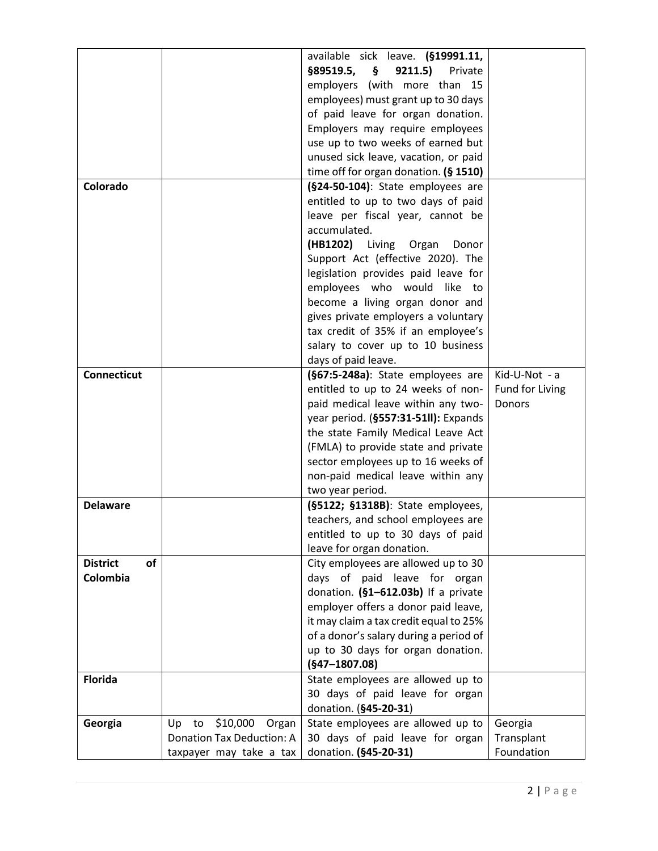|                       |                                  | available sick leave. (§19991.11,      |                 |
|-----------------------|----------------------------------|----------------------------------------|-----------------|
|                       |                                  | $§89519.5, \S$<br>9211.5)<br>Private   |                 |
|                       |                                  | employers (with more than 15           |                 |
|                       |                                  | employees) must grant up to 30 days    |                 |
|                       |                                  | of paid leave for organ donation.      |                 |
|                       |                                  | Employers may require employees        |                 |
|                       |                                  | use up to two weeks of earned but      |                 |
|                       |                                  | unused sick leave, vacation, or paid   |                 |
|                       |                                  | time off for organ donation. (§ 1510)  |                 |
| Colorado              |                                  | (§24-50-104): State employees are      |                 |
|                       |                                  | entitled to up to two days of paid     |                 |
|                       |                                  | leave per fiscal year, cannot be       |                 |
|                       |                                  | accumulated.                           |                 |
|                       |                                  | (HB1202) Living Organ<br>Donor         |                 |
|                       |                                  | Support Act (effective 2020). The      |                 |
|                       |                                  | legislation provides paid leave for    |                 |
|                       |                                  | employees who would like to            |                 |
|                       |                                  | become a living organ donor and        |                 |
|                       |                                  | gives private employers a voluntary    |                 |
|                       |                                  | tax credit of 35% if an employee's     |                 |
|                       |                                  | salary to cover up to 10 business      |                 |
|                       |                                  | days of paid leave.                    |                 |
| <b>Connecticut</b>    |                                  | (§67:5-248a): State employees are      | Kid-U-Not - a   |
|                       |                                  | entitled to up to 24 weeks of non-     | Fund for Living |
|                       |                                  | paid medical leave within any two-     | Donors          |
|                       |                                  | year period. (§557:31-51II): Expands   |                 |
|                       |                                  | the state Family Medical Leave Act     |                 |
|                       |                                  | (FMLA) to provide state and private    |                 |
|                       |                                  | sector employees up to 16 weeks of     |                 |
|                       |                                  | non-paid medical leave within any      |                 |
|                       |                                  | two year period.                       |                 |
| <b>Delaware</b>       |                                  | (§5122; §1318B): State employees,      |                 |
|                       |                                  | teachers, and school employees are     |                 |
|                       |                                  | entitled to up to 30 days of paid      |                 |
|                       |                                  | leave for organ donation.              |                 |
| <b>District</b><br>of |                                  | City employees are allowed up to 30    |                 |
| Colombia              |                                  | days of paid leave for organ           |                 |
|                       |                                  | donation. (§1-612.03b) If a private    |                 |
|                       |                                  | employer offers a donor paid leave,    |                 |
|                       |                                  | it may claim a tax credit equal to 25% |                 |
|                       |                                  | of a donor's salary during a period of |                 |
|                       |                                  | up to 30 days for organ donation.      |                 |
|                       |                                  | $(§47 - 1807.08)$                      |                 |
| <b>Florida</b>        |                                  | State employees are allowed up to      |                 |
|                       |                                  | 30 days of paid leave for organ        |                 |
|                       |                                  | donation. (§45-20-31)                  |                 |
| Georgia               | \$10,000 Organ<br>Up<br>to       | State employees are allowed up to      | Georgia         |
|                       | <b>Donation Tax Deduction: A</b> | 30 days of paid leave for organ        | Transplant      |
|                       | taxpayer may take a tax          | donation. (§45-20-31)                  | Foundation      |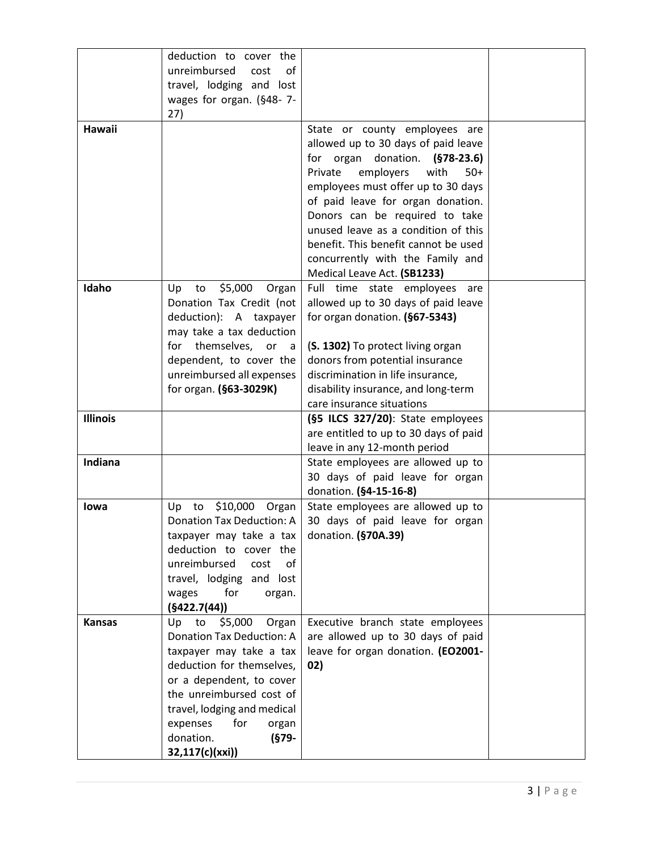|                 | deduction to cover the                                 |                                                                       |  |
|-----------------|--------------------------------------------------------|-----------------------------------------------------------------------|--|
|                 | unreimbursed<br>cost<br>of<br>travel, lodging and lost |                                                                       |  |
|                 | wages for organ. (§48-7-                               |                                                                       |  |
|                 | 27)                                                    |                                                                       |  |
| Hawaii          |                                                        | State or county employees are                                         |  |
|                 |                                                        | allowed up to 30 days of paid leave                                   |  |
|                 |                                                        | for organ donation. (§78-23.6)                                        |  |
|                 |                                                        | Private<br>employers<br>with<br>$50+$                                 |  |
|                 |                                                        | employees must offer up to 30 days                                    |  |
|                 |                                                        | of paid leave for organ donation.                                     |  |
|                 |                                                        | Donors can be required to take                                        |  |
|                 |                                                        | unused leave as a condition of this                                   |  |
|                 |                                                        | benefit. This benefit cannot be used                                  |  |
|                 |                                                        | concurrently with the Family and                                      |  |
|                 |                                                        | Medical Leave Act. (SB1233)                                           |  |
| Idaho           | to<br>\$5,000<br>Up<br>Organ                           | Full time state employees are                                         |  |
|                 | Donation Tax Credit (not                               | allowed up to 30 days of paid leave                                   |  |
|                 | deduction): A taxpayer                                 | for organ donation. (§67-5343)                                        |  |
|                 | may take a tax deduction                               |                                                                       |  |
|                 | themselves, or<br>for<br>a                             | (S. 1302) To protect living organ                                     |  |
|                 | dependent, to cover the                                | donors from potential insurance                                       |  |
|                 | unreimbursed all expenses                              | discrimination in life insurance,                                     |  |
|                 | for organ. (§63-3029K)                                 | disability insurance, and long-term                                   |  |
|                 |                                                        | care insurance situations                                             |  |
| <b>Illinois</b> |                                                        | (§5 ILCS 327/20): State employees                                     |  |
|                 |                                                        | are entitled to up to 30 days of paid<br>leave in any 12-month period |  |
| Indiana         |                                                        | State employees are allowed up to                                     |  |
|                 |                                                        | 30 days of paid leave for organ                                       |  |
|                 |                                                        | donation. (§4-15-16-8)                                                |  |
| lowa            | \$10,000 Organ<br>to<br>Up                             | State employees are allowed up to                                     |  |
|                 | <b>Donation Tax Deduction: A</b>                       | 30 days of paid leave for organ                                       |  |
|                 | taxpayer may take a tax                                | donation. (§70A.39)                                                   |  |
|                 | deduction to cover the                                 |                                                                       |  |
|                 | unreimbursed<br>cost<br>of                             |                                                                       |  |
|                 | travel, lodging and lost                               |                                                                       |  |
|                 | for<br>wages<br>organ.                                 |                                                                       |  |
|                 | (§422.7(44))                                           |                                                                       |  |
| <b>Kansas</b>   | \$5,000<br>Up<br>to<br>Organ                           | Executive branch state employees                                      |  |
|                 | <b>Donation Tax Deduction: A</b>                       | are allowed up to 30 days of paid                                     |  |
|                 | taxpayer may take a tax                                | leave for organ donation. (EO2001-                                    |  |
|                 | deduction for themselves,                              | 02)                                                                   |  |
|                 | or a dependent, to cover<br>the unreimbursed cost of   |                                                                       |  |
|                 | travel, lodging and medical                            |                                                                       |  |
|                 | for<br>expenses<br>organ                               |                                                                       |  |
|                 | donation.<br>(§79-                                     |                                                                       |  |
|                 | 32,117(c)(xxi))                                        |                                                                       |  |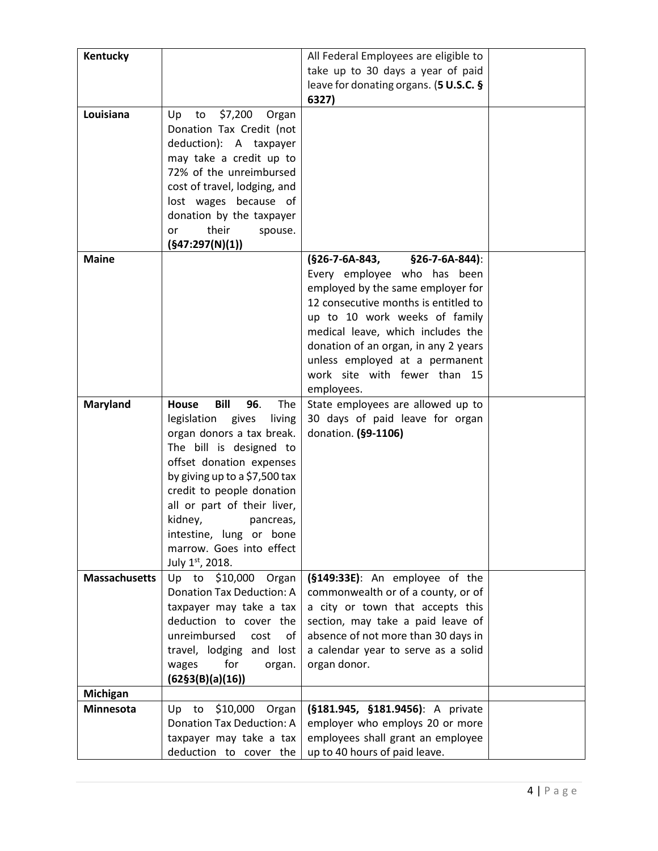| Kentucky             |                                                   | All Federal Employees are eligible to                                 |  |
|----------------------|---------------------------------------------------|-----------------------------------------------------------------------|--|
|                      |                                                   | take up to 30 days a year of paid                                     |  |
|                      |                                                   | leave for donating organs. (5 U.S.C. §                                |  |
|                      |                                                   | 6327)                                                                 |  |
| Louisiana            | \$7,200<br>Up<br>to<br>Organ                      |                                                                       |  |
|                      | Donation Tax Credit (not                          |                                                                       |  |
|                      | deduction): A taxpayer                            |                                                                       |  |
|                      | may take a credit up to                           |                                                                       |  |
|                      | 72% of the unreimbursed                           |                                                                       |  |
|                      | cost of travel, lodging, and                      |                                                                       |  |
|                      | lost wages because of                             |                                                                       |  |
|                      | donation by the taxpayer                          |                                                                       |  |
|                      | their<br>spouse.<br>or                            |                                                                       |  |
|                      | (§47:297(N)(1))                                   |                                                                       |  |
| <b>Maine</b>         |                                                   | (§26-7-6A-843,<br>§26-7-6A-844):                                      |  |
|                      |                                                   | Every employee who has been                                           |  |
|                      |                                                   | employed by the same employer for                                     |  |
|                      |                                                   | 12 consecutive months is entitled to                                  |  |
|                      |                                                   | up to 10 work weeks of family                                         |  |
|                      |                                                   | medical leave, which includes the                                     |  |
|                      |                                                   | donation of an organ, in any 2 years                                  |  |
|                      |                                                   | unless employed at a permanent                                        |  |
|                      |                                                   | work site with fewer than 15                                          |  |
|                      |                                                   | employees.                                                            |  |
| Maryland             | Bill<br>96.<br>The<br>House                       | State employees are allowed up to                                     |  |
|                      | legislation<br>gives<br>living                    | 30 days of paid leave for organ                                       |  |
|                      | organ donors a tax break.                         | donation. (§9-1106)                                                   |  |
|                      | The bill is designed to                           |                                                                       |  |
|                      | offset donation expenses                          |                                                                       |  |
|                      | by giving up to a \$7,500 tax                     |                                                                       |  |
|                      | credit to people donation                         |                                                                       |  |
|                      | all or part of their liver,                       |                                                                       |  |
|                      | kidney,<br>pancreas,                              |                                                                       |  |
|                      | intestine, lung or bone                           |                                                                       |  |
|                      | marrow. Goes into effect                          |                                                                       |  |
|                      | July 1st, 2018.                                   |                                                                       |  |
| <b>Massachusetts</b> | Up to \$10,000 Organ                              | (§149:33E): An employee of the                                        |  |
|                      | <b>Donation Tax Deduction: A</b>                  | commonwealth or of a county, or of                                    |  |
|                      | taxpayer may take a tax<br>deduction to cover the | a city or town that accepts this<br>section, may take a paid leave of |  |
|                      | unreimbursed<br>cost<br>of                        | absence of not more than 30 days in                                   |  |
|                      | travel, lodging and lost                          | a calendar year to serve as a solid                                   |  |
|                      | for<br>wages<br>organ.                            | organ donor.                                                          |  |
|                      | (62§3(B)(a)(16))                                  |                                                                       |  |
| Michigan             |                                                   |                                                                       |  |
| <b>Minnesota</b>     | \$10,000<br>Up to<br>Organ                        | (§181.945, §181.9456): A private                                      |  |
|                      | <b>Donation Tax Deduction: A</b>                  | employer who employs 20 or more                                       |  |
|                      | taxpayer may take a tax                           | employees shall grant an employee                                     |  |
|                      | deduction to cover the                            | up to 40 hours of paid leave.                                         |  |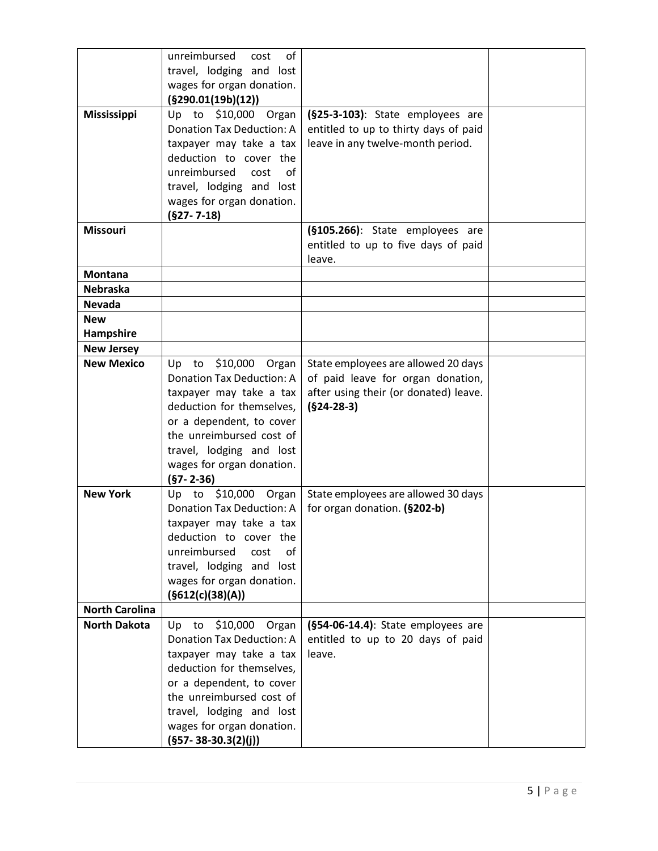|                       | unreimbursed<br>of<br>cost                           |                                       |  |
|-----------------------|------------------------------------------------------|---------------------------------------|--|
|                       | travel, lodging and lost                             |                                       |  |
|                       | wages for organ donation.                            |                                       |  |
|                       | (§290.01(19b)(12))                                   |                                       |  |
| <b>Mississippi</b>    | Up to \$10,000<br>Organ                              | (§25-3-103): State employees are      |  |
|                       | <b>Donation Tax Deduction: A</b>                     | entitled to up to thirty days of paid |  |
|                       | taxpayer may take a tax                              | leave in any twelve-month period.     |  |
|                       | deduction to cover the                               |                                       |  |
|                       | unreimbursed<br>cost<br>of                           |                                       |  |
|                       | travel, lodging and lost                             |                                       |  |
|                       | wages for organ donation.                            |                                       |  |
|                       | $(§27 - 7 - 18)$                                     |                                       |  |
| <b>Missouri</b>       |                                                      | (§105.266): State employees are       |  |
|                       |                                                      | entitled to up to five days of paid   |  |
|                       |                                                      | leave.                                |  |
| <b>Montana</b>        |                                                      |                                       |  |
| <b>Nebraska</b>       |                                                      |                                       |  |
| <b>Nevada</b>         |                                                      |                                       |  |
| <b>New</b>            |                                                      |                                       |  |
| Hampshire             |                                                      |                                       |  |
| <b>New Jersey</b>     |                                                      |                                       |  |
| <b>New Mexico</b>     | \$10,000 Organ<br>Up to                              | State employees are allowed 20 days   |  |
|                       | <b>Donation Tax Deduction: A</b>                     | of paid leave for organ donation,     |  |
|                       | taxpayer may take a tax                              | after using their (or donated) leave. |  |
|                       | deduction for themselves,                            | $(§24-28-3)$                          |  |
|                       | or a dependent, to cover                             |                                       |  |
|                       | the unreimbursed cost of                             |                                       |  |
|                       | travel, lodging and lost                             |                                       |  |
|                       | wages for organ donation.                            |                                       |  |
|                       | $(§7 - 2 - 36)$                                      |                                       |  |
| <b>New York</b>       | \$10,000 Organ<br>Up to                              | State employees are allowed 30 days   |  |
|                       | <b>Donation Tax Deduction: A</b>                     | for organ donation. (§202-b)          |  |
|                       | taxpayer may take a tax                              |                                       |  |
|                       | deduction to cover the                               |                                       |  |
|                       | unreimbursed<br>of<br>cost                           |                                       |  |
|                       | travel, lodging and lost                             |                                       |  |
|                       | wages for organ donation.                            |                                       |  |
|                       | (§612(c)(38)(A))                                     |                                       |  |
| <b>North Carolina</b> |                                                      |                                       |  |
| <b>North Dakota</b>   | \$10,000<br>Up to<br>Organ                           | (§54-06-14.4): State employees are    |  |
|                       | <b>Donation Tax Deduction: A</b>                     | entitled to up to 20 days of paid     |  |
|                       | taxpayer may take a tax<br>deduction for themselves, | leave.                                |  |
|                       |                                                      |                                       |  |
|                       | or a dependent, to cover<br>the unreimbursed cost of |                                       |  |
|                       | travel, lodging and lost                             |                                       |  |
|                       | wages for organ donation.                            |                                       |  |
|                       |                                                      |                                       |  |
|                       | $(§57 - 38 - 30.3(2)(j))$                            |                                       |  |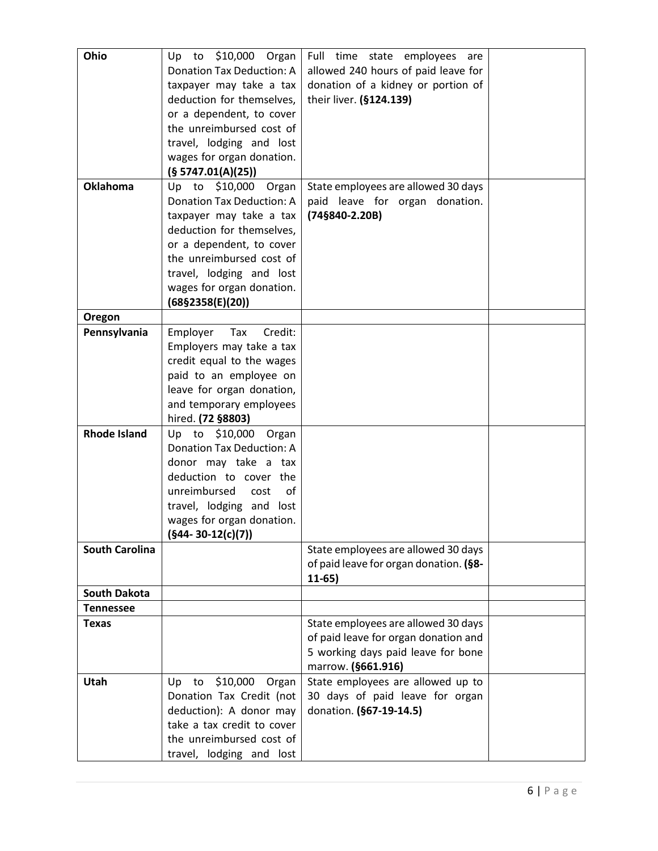| Ohio                   | \$10,000 Organ<br>Up to                               | Full time state employees<br>are       |  |
|------------------------|-------------------------------------------------------|----------------------------------------|--|
|                        | <b>Donation Tax Deduction: A</b>                      | allowed 240 hours of paid leave for    |  |
|                        | taxpayer may take a tax                               | donation of a kidney or portion of     |  |
|                        | deduction for themselves,                             | their liver. (§124.139)                |  |
|                        | or a dependent, to cover                              |                                        |  |
|                        | the unreimbursed cost of                              |                                        |  |
|                        | travel, lodging and lost                              |                                        |  |
|                        | wages for organ donation.                             |                                        |  |
|                        | (S 5747.01(A)(25))                                    |                                        |  |
| <b>Oklahoma</b>        | Up to \$10,000<br>Organ                               | State employees are allowed 30 days    |  |
|                        | <b>Donation Tax Deduction: A</b>                      | paid leave for organ donation.         |  |
|                        | taxpayer may take a tax                               | (74§840-2.20B)                         |  |
|                        | deduction for themselves,                             |                                        |  |
|                        | or a dependent, to cover                              |                                        |  |
|                        | the unreimbursed cost of                              |                                        |  |
|                        |                                                       |                                        |  |
|                        | travel, lodging and lost<br>wages for organ donation. |                                        |  |
|                        | $(68\S2358(E)(20))$                                   |                                        |  |
|                        |                                                       |                                        |  |
| Oregon<br>Pennsylvania | Employer<br>Tax<br>Credit:                            |                                        |  |
|                        | Employers may take a tax                              |                                        |  |
|                        | credit equal to the wages                             |                                        |  |
|                        | paid to an employee on                                |                                        |  |
|                        | leave for organ donation,                             |                                        |  |
|                        | and temporary employees                               |                                        |  |
|                        | hired. (72 §8803)                                     |                                        |  |
| <b>Rhode Island</b>    | Up to<br>\$10,000<br>Organ                            |                                        |  |
|                        | <b>Donation Tax Deduction: A</b>                      |                                        |  |
|                        | donor may take a tax                                  |                                        |  |
|                        | deduction to cover the                                |                                        |  |
|                        | unreimbursed<br>οf<br>cost                            |                                        |  |
|                        | travel, lodging and lost                              |                                        |  |
|                        | wages for organ donation.                             |                                        |  |
|                        | $(§44-30-12(c)(7))$                                   |                                        |  |
| <b>South Carolina</b>  |                                                       | State employees are allowed 30 days    |  |
|                        |                                                       | of paid leave for organ donation. (§8- |  |
|                        |                                                       | $11-65)$                               |  |
| <b>South Dakota</b>    |                                                       |                                        |  |
| <b>Tennessee</b>       |                                                       |                                        |  |
| <b>Texas</b>           |                                                       | State employees are allowed 30 days    |  |
|                        |                                                       | of paid leave for organ donation and   |  |
|                        |                                                       | 5 working days paid leave for bone     |  |
|                        |                                                       | marrow. (§661.916)                     |  |
| <b>Utah</b>            | \$10,000 Organ<br>Up to                               | State employees are allowed up to      |  |
|                        | Donation Tax Credit (not                              | 30 days of paid leave for organ        |  |
|                        | deduction): A donor may                               | donation. (§67-19-14.5)                |  |
|                        | take a tax credit to cover                            |                                        |  |
|                        | the unreimbursed cost of                              |                                        |  |
|                        | travel, lodging and lost                              |                                        |  |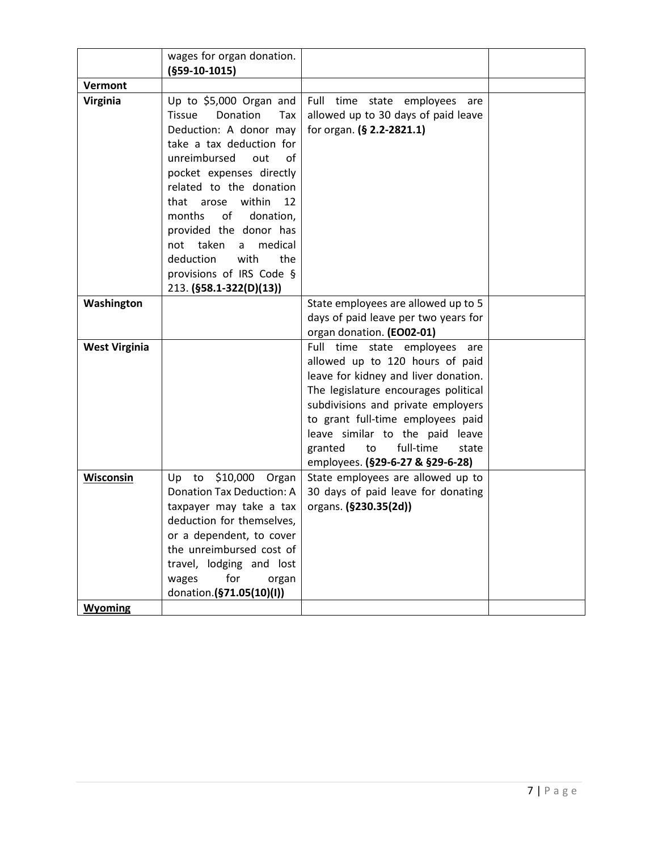|                      | wages for organ donation.<br>$(§59-10-1015)$                                                                                                                                                                                                                                                                                                                                                               |                                                                                                                                                                                                                                                                                                                                              |  |
|----------------------|------------------------------------------------------------------------------------------------------------------------------------------------------------------------------------------------------------------------------------------------------------------------------------------------------------------------------------------------------------------------------------------------------------|----------------------------------------------------------------------------------------------------------------------------------------------------------------------------------------------------------------------------------------------------------------------------------------------------------------------------------------------|--|
| Vermont              |                                                                                                                                                                                                                                                                                                                                                                                                            |                                                                                                                                                                                                                                                                                                                                              |  |
| <b>Virginia</b>      | Up to \$5,000 Organ and<br>Donation<br><b>Tissue</b><br>Tax<br>Deduction: A donor may<br>take a tax deduction for<br>unreimbursed<br>out<br>of<br>pocket expenses directly<br>related to the donation<br>within<br>that arose<br>12<br>of<br>months<br>donation,<br>provided the donor has<br>not taken<br>medical<br>a<br>deduction<br>with<br>the<br>provisions of IRS Code §<br>213. (§58.1-322(D)(13)) | Full time state employees<br>are<br>allowed up to 30 days of paid leave<br>for organ. (§ 2.2-2821.1)                                                                                                                                                                                                                                         |  |
| Washington           |                                                                                                                                                                                                                                                                                                                                                                                                            | State employees are allowed up to 5                                                                                                                                                                                                                                                                                                          |  |
|                      |                                                                                                                                                                                                                                                                                                                                                                                                            | days of paid leave per two years for                                                                                                                                                                                                                                                                                                         |  |
|                      |                                                                                                                                                                                                                                                                                                                                                                                                            | organ donation. (EO02-01)                                                                                                                                                                                                                                                                                                                    |  |
| <b>West Virginia</b> |                                                                                                                                                                                                                                                                                                                                                                                                            | Full time state employees<br>are<br>allowed up to 120 hours of paid<br>leave for kidney and liver donation.<br>The legislature encourages political<br>subdivisions and private employers<br>to grant full-time employees paid<br>leave similar to the paid leave<br>full-time<br>granted<br>to<br>state<br>employees. (§29-6-27 & §29-6-28) |  |
| Wisconsin            | \$10,000<br>to<br>Up<br>Organ<br><b>Donation Tax Deduction: A</b>                                                                                                                                                                                                                                                                                                                                          | State employees are allowed up to                                                                                                                                                                                                                                                                                                            |  |
|                      | taxpayer may take a tax<br>deduction for themselves.<br>or a dependent, to cover<br>the unreimbursed cost of<br>travel, lodging and lost<br>for<br>wages<br>organ<br>donation.(§71.05(10)(I))                                                                                                                                                                                                              | 30 days of paid leave for donating<br>organs. (§230.35(2d))                                                                                                                                                                                                                                                                                  |  |
| <b>Wyoming</b>       |                                                                                                                                                                                                                                                                                                                                                                                                            |                                                                                                                                                                                                                                                                                                                                              |  |